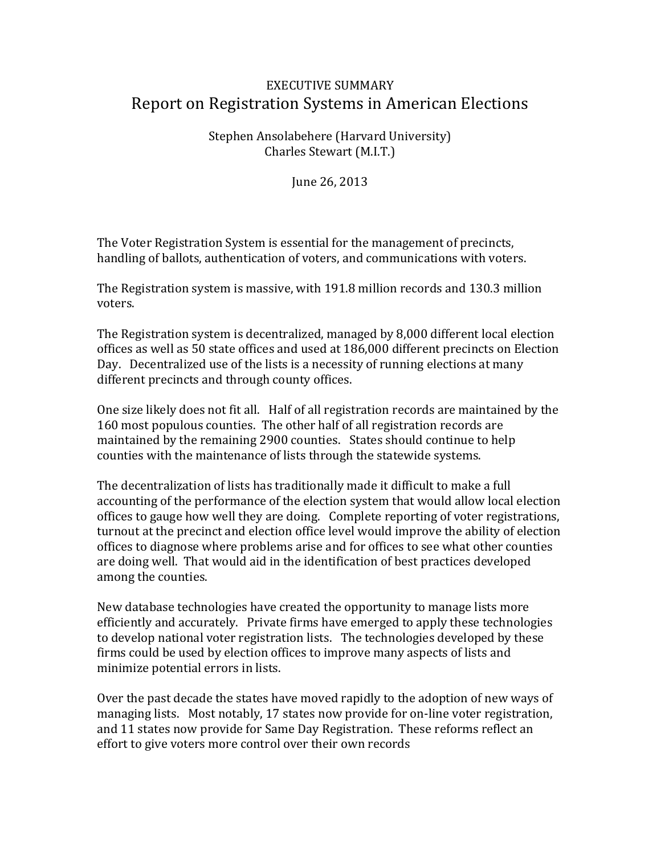## EXECUTIVE SUMMARY Report on Registration Systems in American Elections

Stephen Ansolabehere (Harvard University) Charles Stewart (M.I.T.)

June 26, 2013

The Voter Registration System is essential for the management of precincts, handling of ballots, authentication of voters, and communications with voters.

The Registration system is massive, with 191.8 million records and 130.3 million voters.

The Registration system is decentralized, managed by 8,000 different local election offices as well as 50 state offices and used at 186,000 different precincts on Election Day. Decentralized use of the lists is a necessity of running elections at many different precincts and through county offices.

One size likely does not fit all. Half of all registration records are maintained by the 160 most populous counties. The other half of all registration records are maintained by the remaining 2900 counties. States should continue to help counties with the maintenance of lists through the statewide systems.

The decentralization of lists has traditionally made it difficult to make a full accounting of the performance of the election system that would allow local election offices to gauge how well they are doing. Complete reporting of voter registrations, turnout at the precinct and election office level would improve the ability of election offices to diagnose where problems arise and for offices to see what other counties are doing well. That would aid in the identification of best practices developed among the counties.

New database technologies have created the opportunity to manage lists more efficiently and accurately. Private firms have emerged to apply these technologies to develop national voter registration lists. The technologies developed by these firms could be used by election offices to improve many aspects of lists and minimize potential errors in lists.

Over the past decade the states have moved rapidly to the adoption of new ways of managing lists. Most notably, 17 states now provide for on-line voter registration, and 11 states now provide for Same Day Registration. These reforms reflect an effort to give voters more control over their own records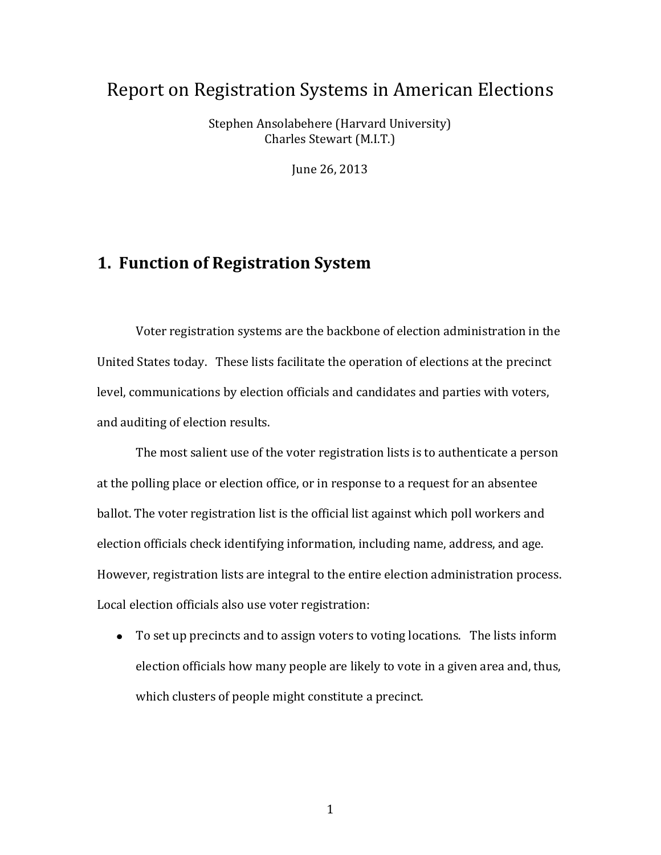# Report on Registration Systems in American Elections

Stephen Ansolabehere (Harvard University) Charles Stewart (M.I.T.)

June 26, 2013

# **1. Function of Registration System**

Voter registration systems are the backbone of election administration in the United States today. These lists facilitate the operation of elections at the precinct level, communications by election officials and candidates and parties with voters, and auditing of election results.

The most salient use of the voter registration lists is to authenticate a person at the polling place or election office, or in response to a request for an absentee ballot. The voter registration list is the official list against which poll workers and election officials check identifying information, including name, address, and age. However, registration lists are integral to the entire election administration process. Local election officials also use voter registration:

To set up precincts and to assign voters to voting locations. The lists inform election officials how many people are likely to vote in a given area and, thus, which clusters of people might constitute a precinct.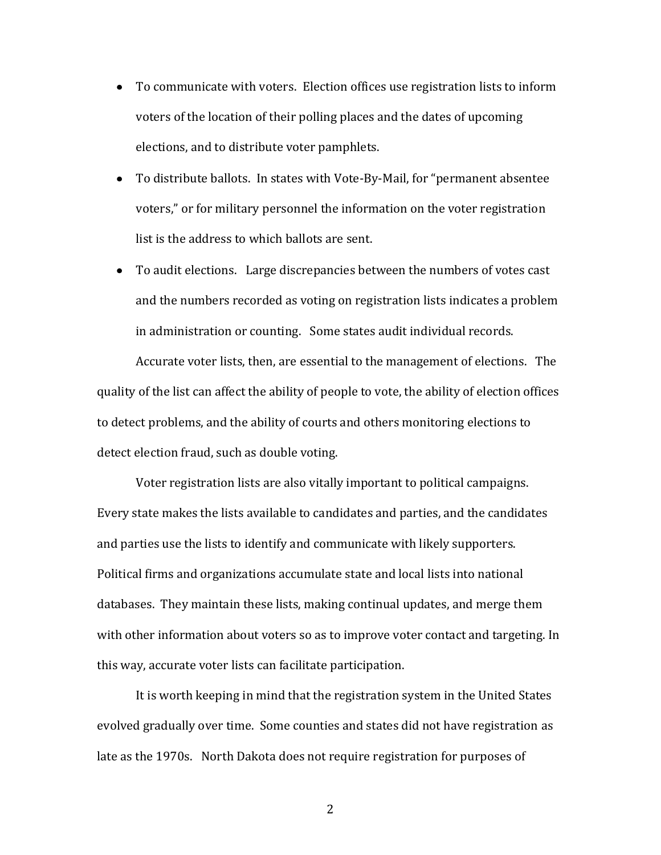- To communicate with voters. Election offices use registration lists to inform voters of the location of their polling places and the dates of upcoming elections, and to distribute voter pamphlets.
- To distribute ballots. In states with Vote-By-Mail, for "permanent absentee voters," or for military personnel the information on the voter registration list is the address to which ballots are sent.
- To audit elections. Large discrepancies between the numbers of votes cast and the numbers recorded as voting on registration lists indicates a problem in administration or counting. Some states audit individual records.

Accurate voter lists, then, are essential to the management of elections. The quality of the list can affect the ability of people to vote, the ability of election offices to detect problems, and the ability of courts and others monitoring elections to detect election fraud, such as double voting.

Voter registration lists are also vitally important to political campaigns. Every state makes the lists available to candidates and parties, and the candidates and parties use the lists to identify and communicate with likely supporters. Political firms and organizations accumulate state and local lists into national databases. They maintain these lists, making continual updates, and merge them with other information about voters so as to improve voter contact and targeting. In this way, accurate voter lists can facilitate participation.

It is worth keeping in mind that the registration system in the United States evolved gradually over time. Some counties and states did not have registration as late as the 1970s. North Dakota does not require registration for purposes of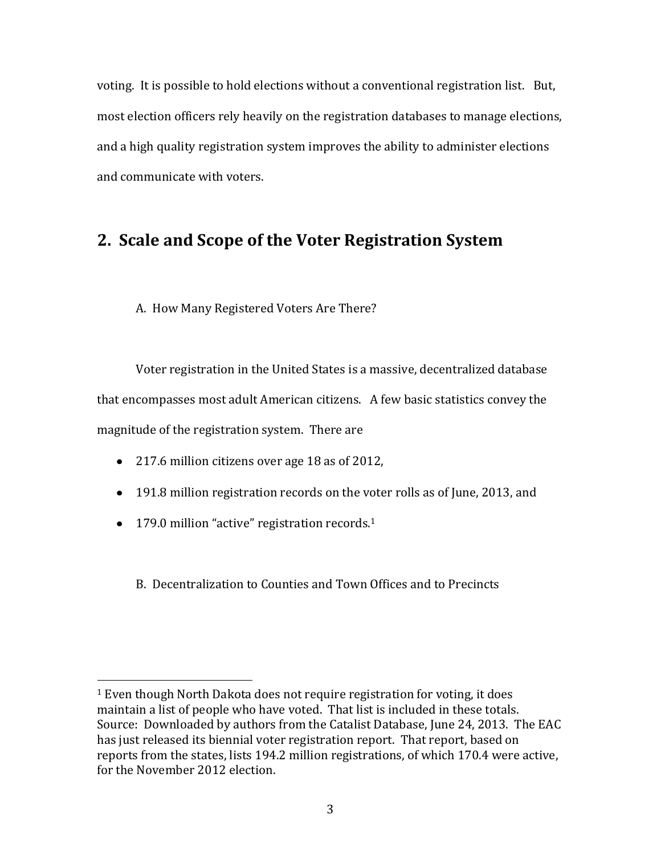voting. It is possible to hold elections without a conventional registration list. But, most election officers rely heavily on the registration databases to manage elections, and a high quality registration system improves the ability to administer elections and communicate with voters.

# **2. Scale and Scope of the Voter Registration System**

A. How Many Registered Voters Are There?

Voter registration in the United States is a massive, decentralized database that encompasses most adult American citizens. A few basic statistics convey the magnitude of the registration system. There are

- 217.6 million citizens over age 18 as of 2012,
- 191.8 million registration records on the voter rolls as of June, 2013, and
- $\bullet$  179.0 million "active" registration records.<sup>1</sup>

 $\overline{\phantom{a}}$ 

B. Decentralization to Counties and Town Offices and to Precincts

<sup>&</sup>lt;sup>1</sup> Even though North Dakota does not require registration for voting, it does maintain a list of people who have voted. That list is included in these totals. Source: Downloaded by authors from the Catalist Database, June 24, 2013. The EAC has just released its biennial voter registration report. That report, based on reports from the states, lists 194.2 million registrations, of which 170.4 were active, for the November 2012 election.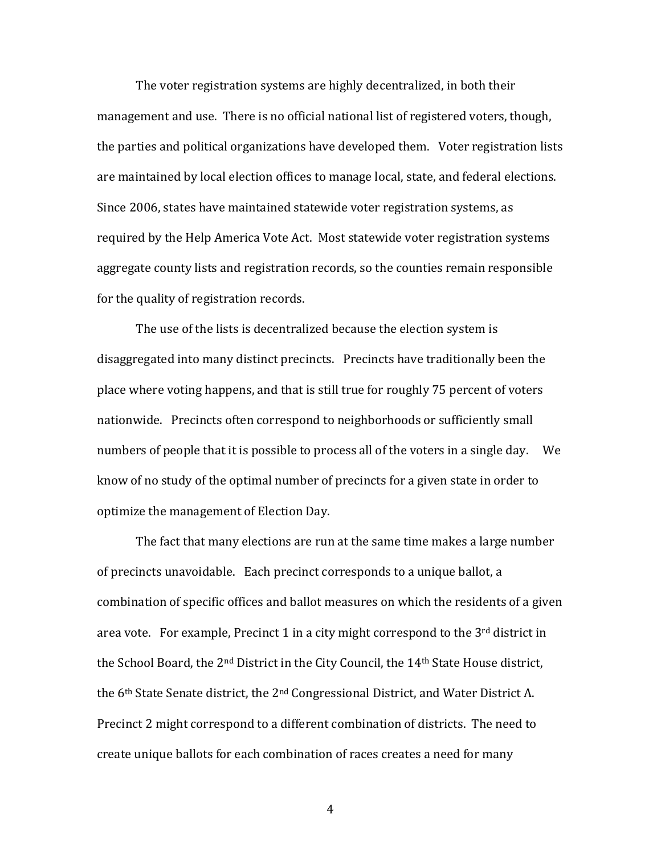The voter registration systems are highly decentralized, in both their management and use. There is no official national list of registered voters, though, the parties and political organizations have developed them. Voter registration lists are maintained by local election offices to manage local, state, and federal elections. Since 2006, states have maintained statewide voter registration systems, as required by the Help America Vote Act. Most statewide voter registration systems aggregate county lists and registration records, so the counties remain responsible for the quality of registration records.

The use of the lists is decentralized because the election system is disaggregated into many distinct precincts. Precincts have traditionally been the place where voting happens, and that is still true for roughly 75 percent of voters nationwide. Precincts often correspond to neighborhoods or sufficiently small numbers of people that it is possible to process all of the voters in a single day. We know of no study of the optimal number of precincts for a given state in order to optimize the management of Election Day.

The fact that many elections are run at the same time makes a large number of precincts unavoidable. Each precinct corresponds to a unique ballot, a combination of specific offices and ballot measures on which the residents of a given area vote. For example, Precinct 1 in a city might correspond to the  $3<sup>rd</sup>$  district in the School Board, the 2nd District in the City Council, the 14th State House district, the 6<sup>th</sup> State Senate district, the 2<sup>nd</sup> Congressional District, and Water District A. Precinct 2 might correspond to a different combination of districts. The need to create unique ballots for each combination of races creates a need for many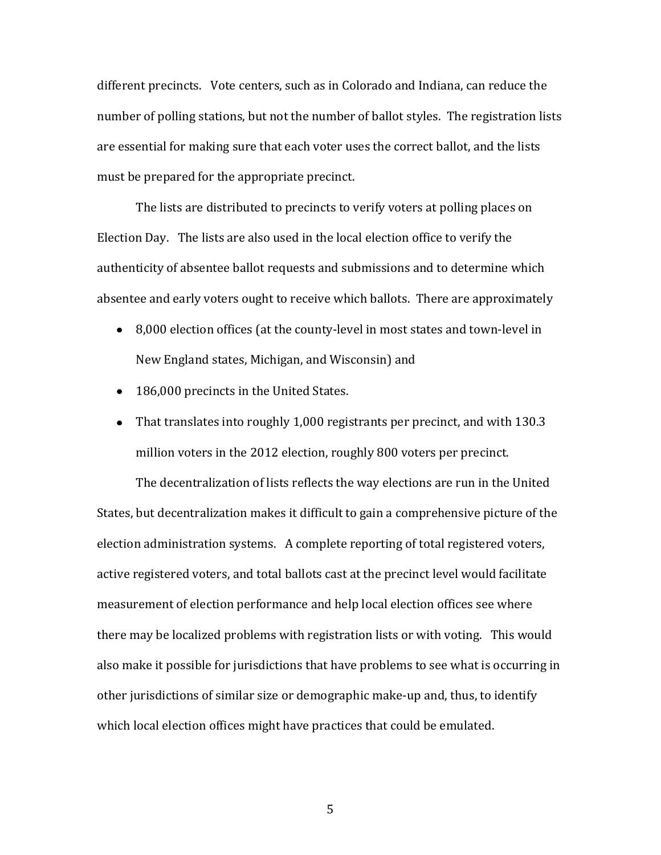different precincts. Vote centers, such as in Colorado and Indiana, can reduce the number of polling stations, but not the number of ballot styles. The registration lists are essential for making sure that each voter uses the correct ballot, and the lists must be prepared for the appropriate precinct.

The lists are distributed to precincts to verify voters at polling places on Election Day. The lists are also used in the local election office to verify the authenticity of absentee ballot requests and submissions and to determine which absentee and early voters ought to receive which ballots. There are approximately

- 8,000 election offices (at the county-level in most states and town-level in New England states, Michigan, and Wisconsin) and
- 186,000 precincts in the United States.
- That translates into roughly 1,000 registrants per precinct, and with 130.3 million voters in the 2012 election, roughly 800 voters per precinct.

The decentralization of lists reflects the way elections are run in the United States, but decentralization makes it difficult to gain a comprehensive picture of the election administration systems. A complete reporting of total registered voters, active registered voters, and total ballots cast at the precinct level would facilitate measurement of election performance and help local election offices see where there may be localized problems with registration lists or with voting. This would also make it possible for jurisdictions that have problems to see what is occurring in other jurisdictions of similar size or demographic make-up and, thus, to identify which local election offices might have practices that could be emulated.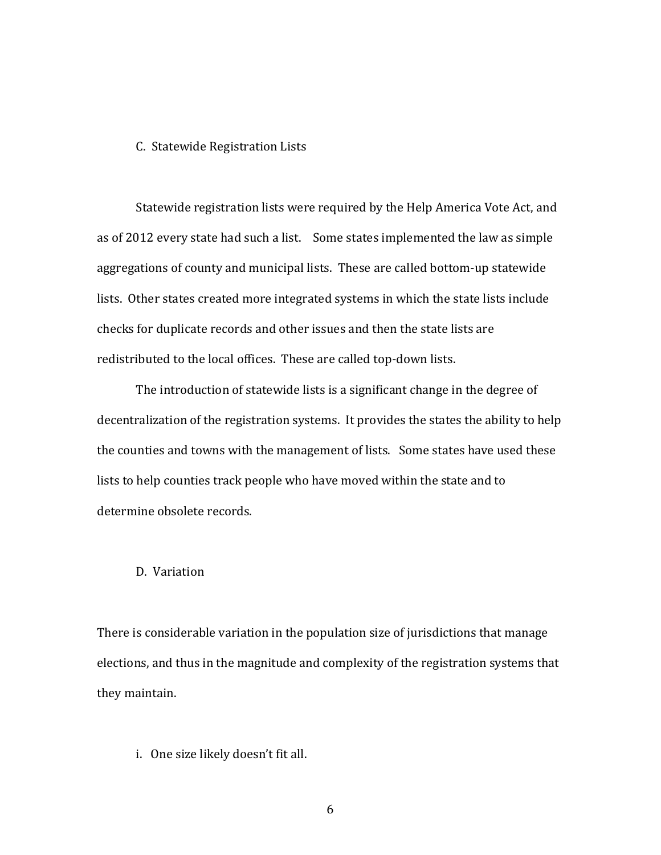#### C. Statewide Registration Lists

Statewide registration lists were required by the Help America Vote Act, and as of 2012 every state had such a list. Some states implemented the law as simple aggregations of county and municipal lists. These are called bottom-up statewide lists. Other states created more integrated systems in which the state lists include checks for duplicate records and other issues and then the state lists are redistributed to the local offices. These are called top-down lists.

The introduction of statewide lists is a significant change in the degree of decentralization of the registration systems. It provides the states the ability to help the counties and towns with the management of lists. Some states have used these lists to help counties track people who have moved within the state and to determine obsolete records.

## D. Variation

There is considerable variation in the population size of jurisdictions that manage elections, and thus in the magnitude and complexity of the registration systems that they maintain.

i. One size likely doesn't fit all.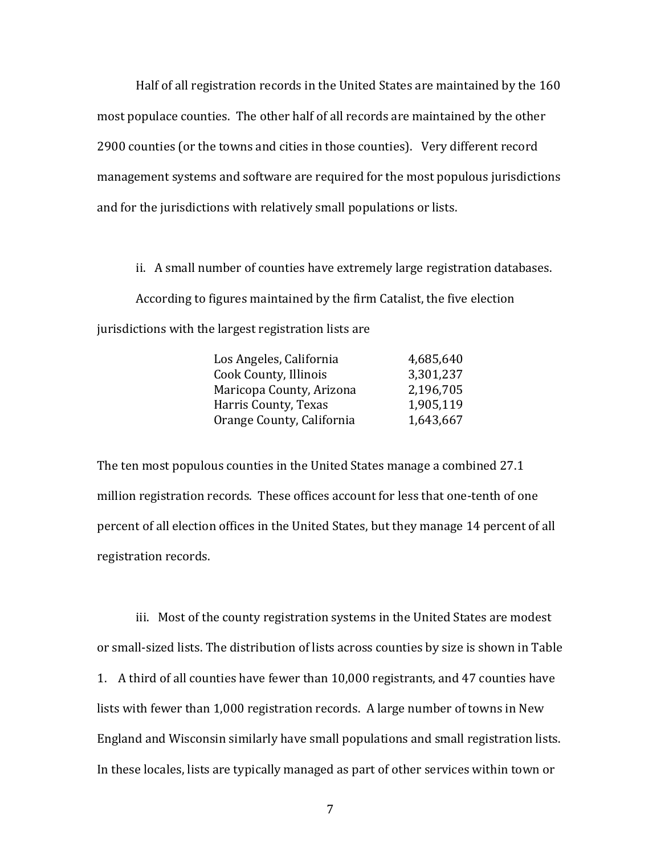Half of all registration records in the United States are maintained by the 160 most populace counties. The other half of all records are maintained by the other 2900 counties (or the towns and cities in those counties). Very different record management systems and software are required for the most populous jurisdictions and for the jurisdictions with relatively small populations or lists.

ii. A small number of counties have extremely large registration databases. According to figures maintained by the firm Catalist, the five election jurisdictions with the largest registration lists are

| Los Angeles, California   | 4,685,640 |
|---------------------------|-----------|
| Cook County, Illinois     | 3,301,237 |
| Maricopa County, Arizona  | 2,196,705 |
| Harris County, Texas      | 1,905,119 |
| Orange County, California | 1,643,667 |

The ten most populous counties in the United States manage a combined 27.1 million registration records. These offices account for less that one-tenth of one percent of all election offices in the United States, but they manage 14 percent of all registration records.

iii. Most of the county registration systems in the United States are modest or small-sized lists. The distribution of lists across counties by size is shown in Table 1. A third of all counties have fewer than 10,000 registrants, and 47 counties have lists with fewer than 1,000 registration records. A large number of towns in New England and Wisconsin similarly have small populations and small registration lists. In these locales, lists are typically managed as part of other services within town or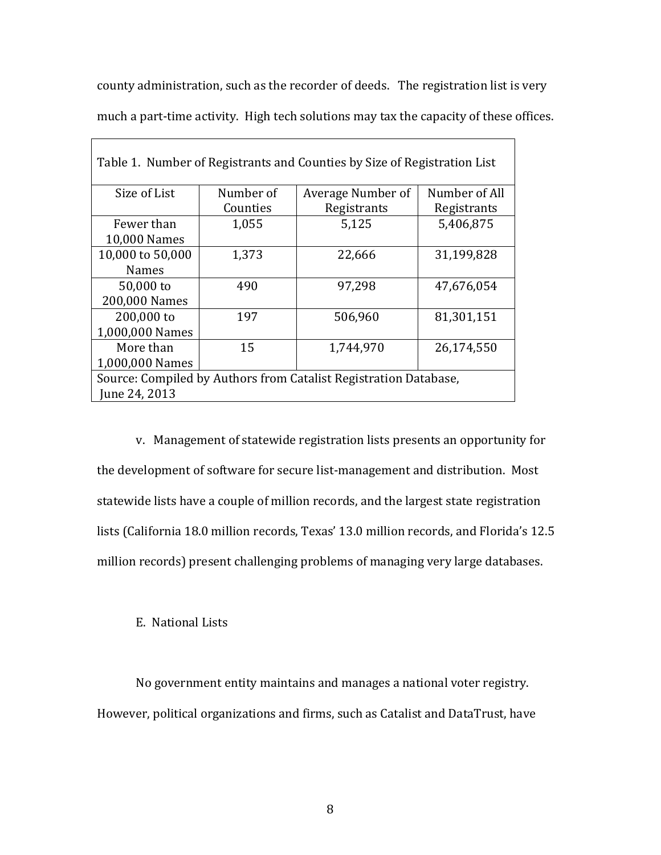county administration, such as the recorder of deeds. The registration list is very much a part-time activity. High tech solutions may tax the capacity of these offices.

| Table 1. Number of Registrants and Counties by Size of Registration List |           |                   |               |
|--------------------------------------------------------------------------|-----------|-------------------|---------------|
| Size of List                                                             | Number of | Average Number of | Number of All |
|                                                                          | Counties  | Registrants       | Registrants   |
| Fewer than                                                               | 1,055     | 5,125             | 5,406,875     |
| 10,000 Names                                                             |           |                   |               |
| 10,000 to 50,000                                                         | 1,373     | 22,666            | 31,199,828    |
| <b>Names</b>                                                             |           |                   |               |
| 50,000 to                                                                | 490       | 97,298            | 47,676,054    |
| 200,000 Names                                                            |           |                   |               |
| 200,000 to                                                               | 197       | 506,960           | 81,301,151    |
| 1,000,000 Names                                                          |           |                   |               |
| More than                                                                | 15        | 1,744,970         | 26,174,550    |
| 1,000,000 Names                                                          |           |                   |               |
| Source: Compiled by Authors from Catalist Registration Database,         |           |                   |               |
| June 24, 2013                                                            |           |                   |               |

v. Management of statewide registration lists presents an opportunity for the development of software for secure list-management and distribution. Most statewide lists have a couple of million records, and the largest state registration lists (California 18.0 million records, Texas' 13.0 million records, and Florida's 12.5 million records) present challenging problems of managing very large databases.

### E. National Lists

No government entity maintains and manages a national voter registry. However, political organizations and firms, such as Catalist and DataTrust, have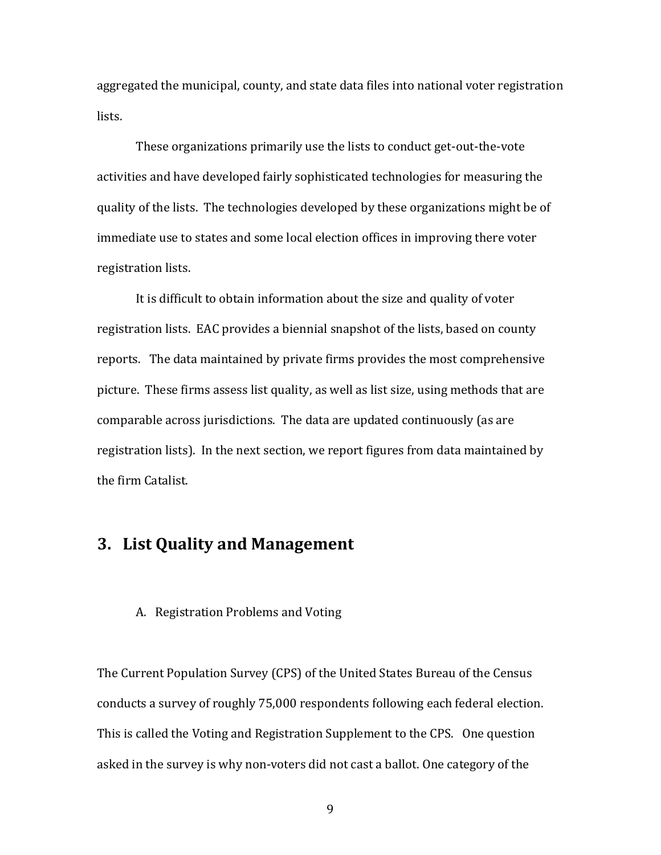aggregated the municipal, county, and state data files into national voter registration lists.

These organizations primarily use the lists to conduct get-out-the-vote activities and have developed fairly sophisticated technologies for measuring the quality of the lists. The technologies developed by these organizations might be of immediate use to states and some local election offices in improving there voter registration lists.

It is difficult to obtain information about the size and quality of voter registration lists. EAC provides a biennial snapshot of the lists, based on county reports. The data maintained by private firms provides the most comprehensive picture. These firms assess list quality, as well as list size, using methods that are comparable across jurisdictions. The data are updated continuously (as are registration lists). In the next section, we report figures from data maintained by the firm Catalist.

## **3. List Quality and Management**

#### A. Registration Problems and Voting

The Current Population Survey (CPS) of the United States Bureau of the Census conducts a survey of roughly 75,000 respondents following each federal election. This is called the Voting and Registration Supplement to the CPS. One question asked in the survey is why non-voters did not cast a ballot. One category of the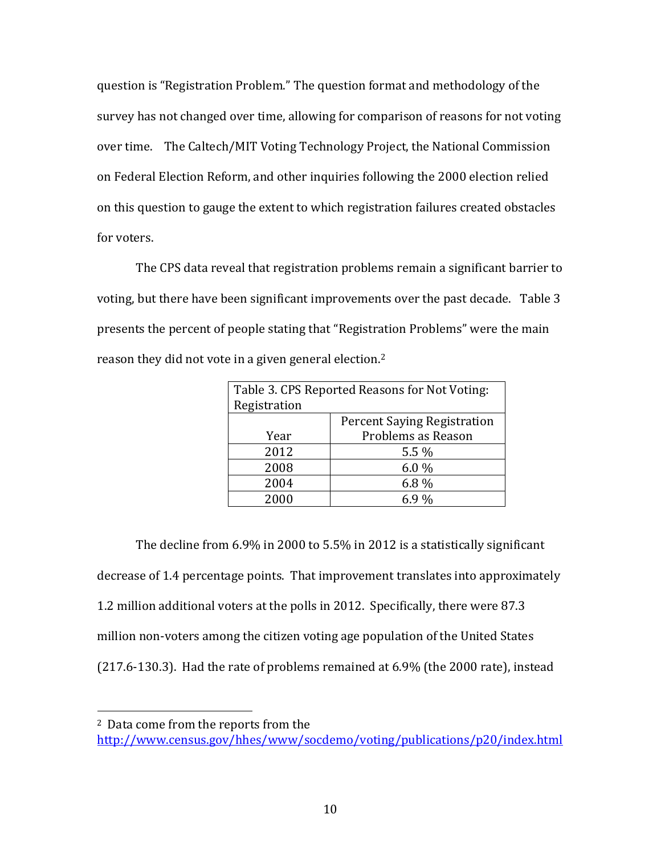question is "Registration Problem." The question format and methodology of the survey has not changed over time, allowing for comparison of reasons for not voting over time. The Caltech/MIT Voting Technology Project, the National Commission on Federal Election Reform, and other inquiries following the 2000 election relied on this question to gauge the extent to which registration failures created obstacles for voters.

The CPS data reveal that registration problems remain a significant barrier to voting, but there have been significant improvements over the past decade. Table 3 presents the percent of people stating that "Registration Problems" were the main reason they did not vote in a given general election.<sup>2</sup>

| Table 3. CPS Reported Reasons for Not Voting: |                                    |  |
|-----------------------------------------------|------------------------------------|--|
| Registration                                  |                                    |  |
|                                               | <b>Percent Saying Registration</b> |  |
| Year                                          | Problems as Reason                 |  |
| 2012                                          | $5.5\%$                            |  |
| 2008                                          | $6.0\%$                            |  |
| 2004                                          | 6.8%                               |  |
| 2000                                          | 6.9%                               |  |

The decline from 6.9% in 2000 to 5.5% in 2012 is a statistically significant decrease of 1.4 percentage points. That improvement translates into approximately 1.2 million additional voters at the polls in 2012. Specifically, there were 87.3 million non-voters among the citizen voting age population of the United States (217.6-130.3). Had the rate of problems remained at 6.9% (the 2000 rate), instead

 $\overline{\phantom{a}}$ 

<sup>2</sup> Data come from the reports from the

<http://www.census.gov/hhes/www/socdemo/voting/publications/p20/index.html>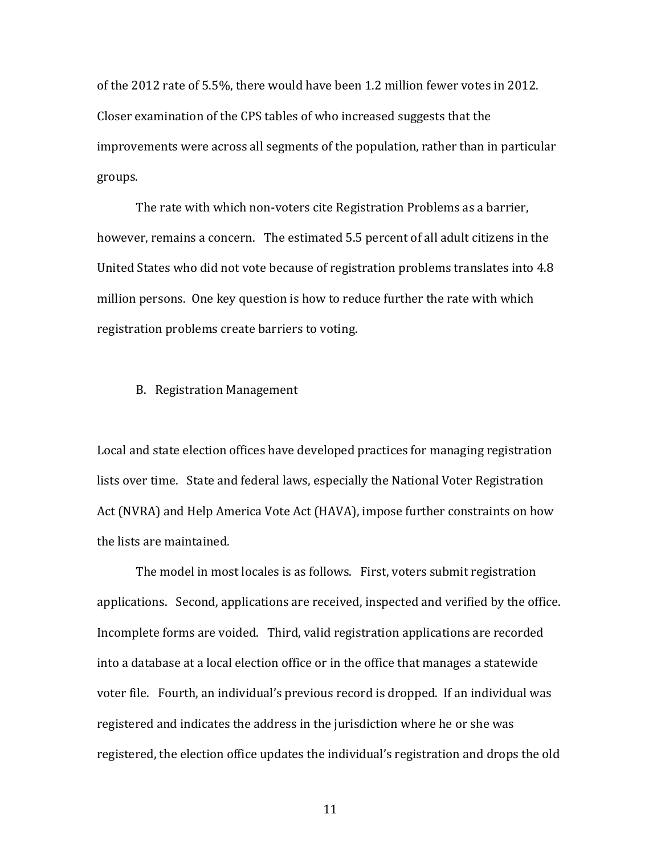of the 2012 rate of 5.5%, there would have been 1.2 million fewer votes in 2012. Closer examination of the CPS tables of who increased suggests that the improvements were across all segments of the population, rather than in particular groups.

The rate with which non-voters cite Registration Problems as a barrier, however, remains a concern. The estimated 5.5 percent of all adult citizens in the United States who did not vote because of registration problems translates into 4.8 million persons. One key question is how to reduce further the rate with which registration problems create barriers to voting.

B. Registration Management

Local and state election offices have developed practices for managing registration lists over time. State and federal laws, especially the National Voter Registration Act (NVRA) and Help America Vote Act (HAVA), impose further constraints on how the lists are maintained.

The model in most locales is as follows. First, voters submit registration applications. Second, applications are received, inspected and verified by the office. Incomplete forms are voided. Third, valid registration applications are recorded into a database at a local election office or in the office that manages a statewide voter file. Fourth, an individual's previous record is dropped. If an individual was registered and indicates the address in the jurisdiction where he or she was registered, the election office updates the individual's registration and drops the old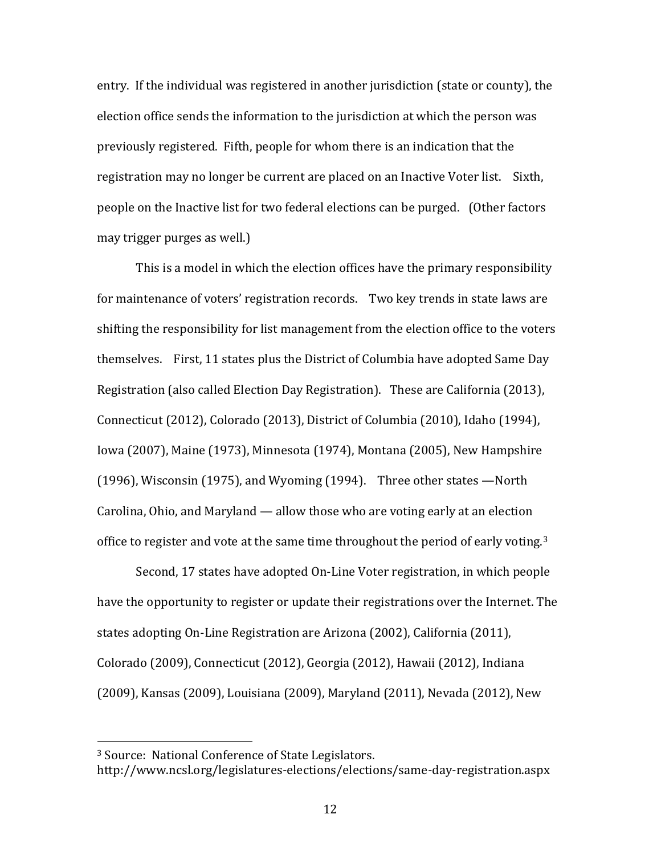entry. If the individual was registered in another jurisdiction (state or county), the election office sends the information to the jurisdiction at which the person was previously registered. Fifth, people for whom there is an indication that the registration may no longer be current are placed on an Inactive Voter list. Sixth, people on the Inactive list for two federal elections can be purged. (Other factors may trigger purges as well.)

This is a model in which the election offices have the primary responsibility for maintenance of voters' registration records. Two key trends in state laws are shifting the responsibility for list management from the election office to the voters themselves. First, 11 states plus the District of Columbia have adopted Same Day Registration (also called Election Day Registration). These are California (2013), Connecticut (2012), Colorado (2013), District of Columbia (2010), Idaho (1994), Iowa (2007), Maine (1973), Minnesota (1974), Montana (2005), New Hampshire (1996), Wisconsin (1975), and Wyoming (1994). Three other states —North Carolina, Ohio, and Maryland — allow those who are voting early at an election office to register and vote at the same time throughout the period of early voting.<sup>3</sup>

Second, 17 states have adopted On-Line Voter registration, in which people have the opportunity to register or update their registrations over the Internet. The states adopting On-Line Registration are Arizona (2002), California (2011), Colorado (2009), Connecticut (2012), Georgia (2012), Hawaii (2012), Indiana (2009), Kansas (2009), Louisiana (2009), Maryland (2011), Nevada (2012), New

 $\overline{\phantom{a}}$ 

<sup>3</sup> Source: National Conference of State Legislators.

http://www.ncsl.org/legislatures-elections/elections/same-day-registration.aspx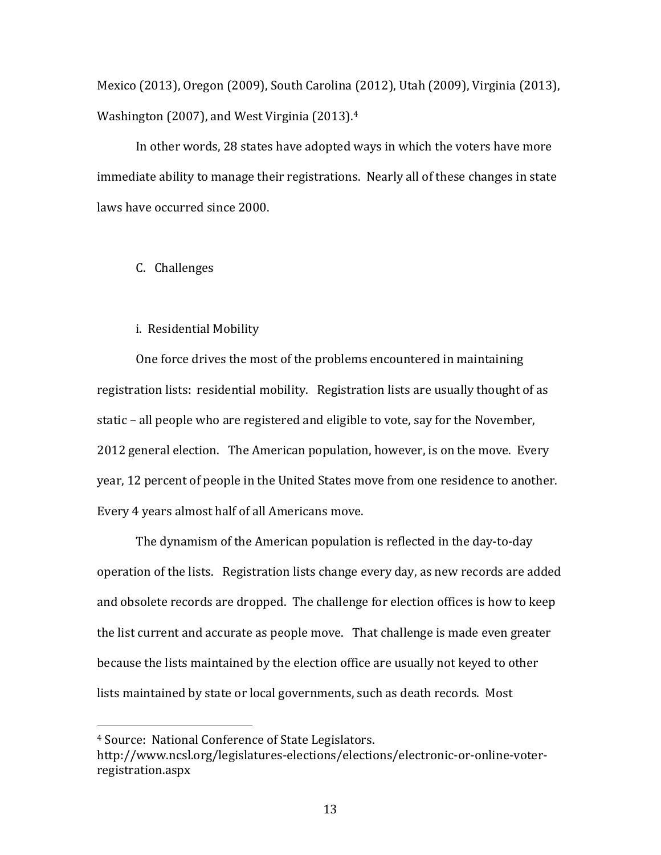Mexico (2013), Oregon (2009), South Carolina (2012), Utah (2009), Virginia (2013), Washington (2007), and West Virginia (2013). 4

In other words, 28 states have adopted ways in which the voters have more immediate ability to manage their registrations. Nearly all of these changes in state laws have occurred since 2000.

### C. Challenges

### i. Residential Mobility

One force drives the most of the problems encountered in maintaining registration lists: residential mobility. Registration lists are usually thought of as static – all people who are registered and eligible to vote, say for the November, 2012 general election. The American population, however, is on the move. Every year, 12 percent of people in the United States move from one residence to another. Every 4 years almost half of all Americans move.

The dynamism of the American population is reflected in the day-to-day operation of the lists. Registration lists change every day, as new records are added and obsolete records are dropped. The challenge for election offices is how to keep the list current and accurate as people move. That challenge is made even greater because the lists maintained by the election office are usually not keyed to other lists maintained by state or local governments, such as death records. Most

 $\overline{\phantom{a}}$ 

<sup>4</sup> Source: National Conference of State Legislators.

http://www.ncsl.org/legislatures-elections/elections/electronic-or-online-voterregistration.aspx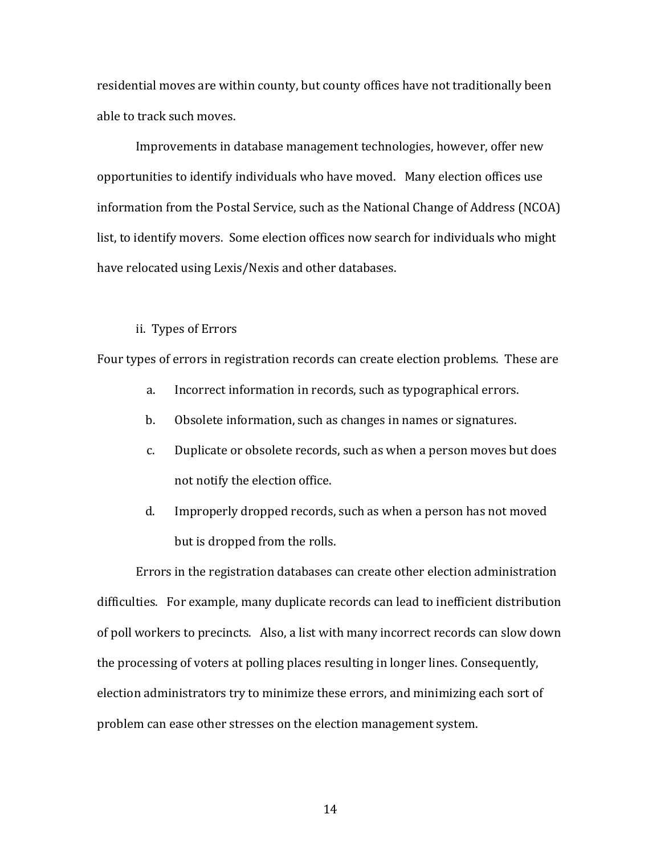residential moves are within county, but county offices have not traditionally been able to track such moves.

Improvements in database management technologies, however, offer new opportunities to identify individuals who have moved. Many election offices use information from the Postal Service, such as the National Change of Address (NCOA) list, to identify movers. Some election offices now search for individuals who might have relocated using Lexis/Nexis and other databases.

#### ii. Types of Errors

Four types of errors in registration records can create election problems. These are

- a. Incorrect information in records, such as typographical errors.
- b. Obsolete information, such as changes in names or signatures.
- c. Duplicate or obsolete records, such as when a person moves but does not notify the election office.
- d. Improperly dropped records, such as when a person has not moved but is dropped from the rolls.

Errors in the registration databases can create other election administration difficulties. For example, many duplicate records can lead to inefficient distribution of poll workers to precincts. Also, a list with many incorrect records can slow down the processing of voters at polling places resulting in longer lines. Consequently, election administrators try to minimize these errors, and minimizing each sort of problem can ease other stresses on the election management system.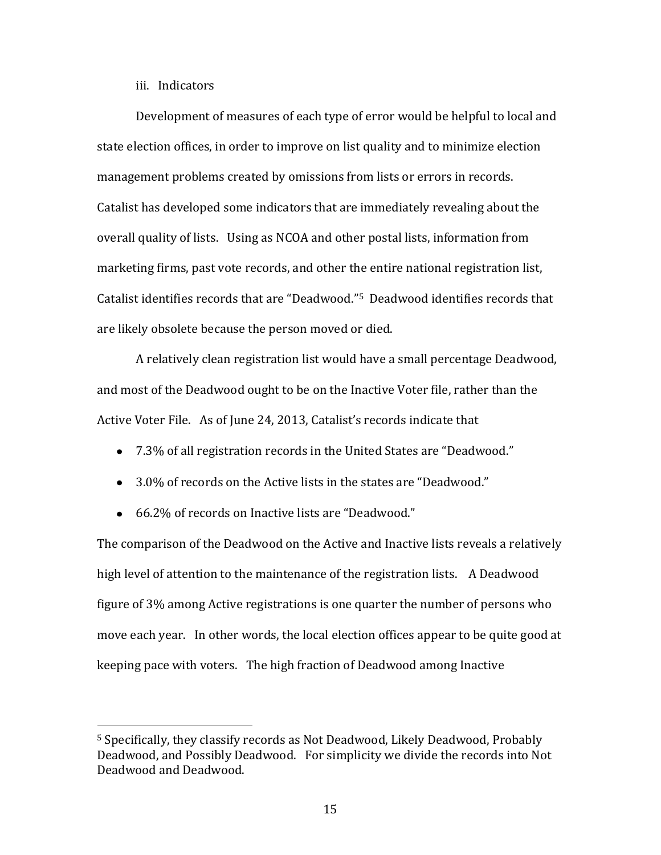iii. Indicators

 $\overline{\phantom{a}}$ 

Development of measures of each type of error would be helpful to local and state election offices, in order to improve on list quality and to minimize election management problems created by omissions from lists or errors in records. Catalist has developed some indicators that are immediately revealing about the overall quality of lists. Using as NCOA and other postal lists, information from marketing firms, past vote records, and other the entire national registration list, Catalist identifies records that are "Deadwood."5 Deadwood identifies records that are likely obsolete because the person moved or died.

A relatively clean registration list would have a small percentage Deadwood, and most of the Deadwood ought to be on the Inactive Voter file, rather than the Active Voter File. As of June 24, 2013, Catalist's records indicate that

- 7.3% of all registration records in the United States are "Deadwood."
- 3.0% of records on the Active lists in the states are "Deadwood."
- 66.2% of records on Inactive lists are "Deadwood."

The comparison of the Deadwood on the Active and Inactive lists reveals a relatively high level of attention to the maintenance of the registration lists. A Deadwood figure of 3% among Active registrations is one quarter the number of persons who move each year. In other words, the local election offices appear to be quite good at keeping pace with voters. The high fraction of Deadwood among Inactive

<sup>5</sup> Specifically, they classify records as Not Deadwood, Likely Deadwood, Probably Deadwood, and Possibly Deadwood. For simplicity we divide the records into Not Deadwood and Deadwood.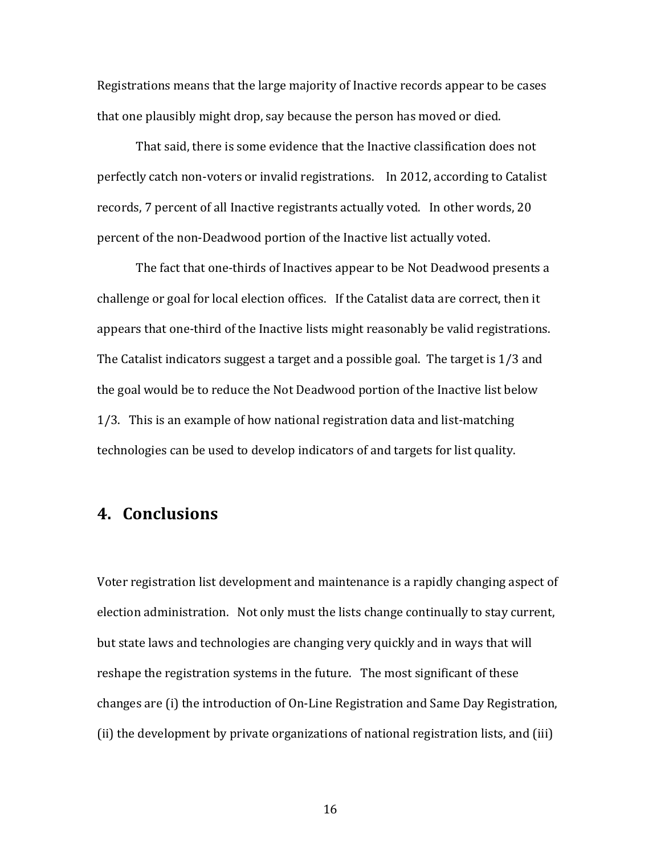Registrations means that the large majority of Inactive records appear to be cases that one plausibly might drop, say because the person has moved or died.

That said, there is some evidence that the Inactive classification does not perfectly catch non-voters or invalid registrations. In 2012, according to Catalist records, 7 percent of all Inactive registrants actually voted. In other words, 20 percent of the non-Deadwood portion of the Inactive list actually voted.

The fact that one-thirds of Inactives appear to be Not Deadwood presents a challenge or goal for local election offices. If the Catalist data are correct, then it appears that one-third of the Inactive lists might reasonably be valid registrations. The Catalist indicators suggest a target and a possible goal. The target is 1/3 and the goal would be to reduce the Not Deadwood portion of the Inactive list below 1/3. This is an example of how national registration data and list-matching technologies can be used to develop indicators of and targets for list quality.

# **4. Conclusions**

Voter registration list development and maintenance is a rapidly changing aspect of election administration. Not only must the lists change continually to stay current, but state laws and technologies are changing very quickly and in ways that will reshape the registration systems in the future. The most significant of these changes are (i) the introduction of On-Line Registration and Same Day Registration, (ii) the development by private organizations of national registration lists, and (iii)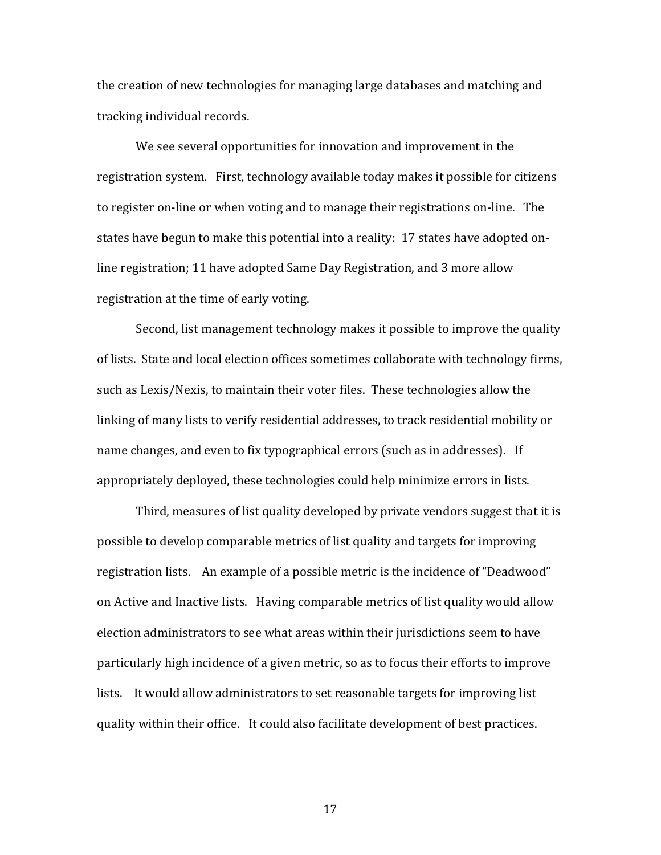the creation of new technologies for managing large databases and matching and tracking individual records.

We see several opportunities for innovation and improvement in the registration system. First, technology available today makes it possible for citizens to register on-line or when voting and to manage their registrations on-line. The states have begun to make this potential into a reality: 17 states have adopted online registration; 11 have adopted Same Day Registration, and 3 more allow registration at the time of early voting.

Second, list management technology makes it possible to improve the quality of lists. State and local election offices sometimes collaborate with technology firms, such as Lexis/Nexis, to maintain their voter files. These technologies allow the linking of many lists to verify residential addresses, to track residential mobility or name changes, and even to fix typographical errors (such as in addresses). If appropriately deployed, these technologies could help minimize errors in lists.

Third, measures of list quality developed by private vendors suggest that it is possible to develop comparable metrics of list quality and targets for improving registration lists. An example of a possible metric is the incidence of "Deadwood" on Active and Inactive lists. Having comparable metrics of list quality would allow election administrators to see what areas within their jurisdictions seem to have particularly high incidence of a given metric, so as to focus their efforts to improve lists. It would allow administrators to set reasonable targets for improving list quality within their office. It could also facilitate development of best practices.